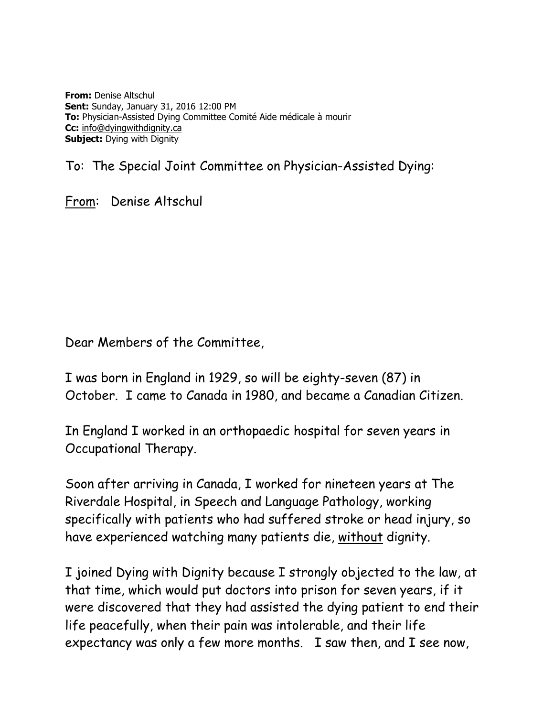**From:** Denise Altschul **Sent:** Sunday, January 31, 2016 12:00 PM **To:** Physician-Assisted Dying Committee Comité Aide médicale à mourir **Cc:** [info@dyingwithdignity.ca](mailto:info@dyingwithdignity.ca) **Subject:** Dying with Dignity

## To: The Special Joint Committee on Physician-Assisted Dying:

From: Denise Altschul

Dear Members of the Committee,

I was born in England in 1929, so will be eighty-seven (87) in October. I came to Canada in 1980, and became a Canadian Citizen.

In England I worked in an orthopaedic hospital for seven years in Occupational Therapy.

Soon after arriving in Canada, I worked for nineteen years at The Riverdale Hospital, in Speech and Language Pathology, working specifically with patients who had suffered stroke or head injury, so have experienced watching many patients die, without dignity.

I joined Dying with Dignity because I strongly objected to the law, at that time, which would put doctors into prison for seven years, if it were discovered that they had assisted the dying patient to end their life peacefully, when their pain was intolerable, and their life expectancy was only a few more months. I saw then, and I see now,